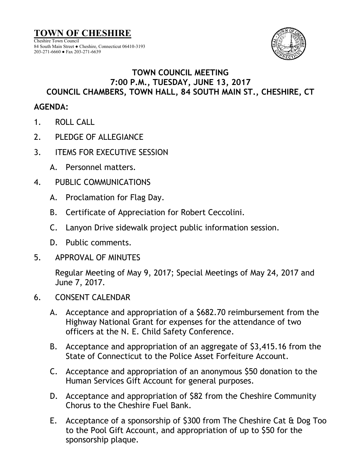

## **TOWN COUNCIL MEETING 7:00 P.M., TUESDAY, JUNE 13, 2017 COUNCIL CHAMBERS, TOWN HALL, 84 SOUTH MAIN ST., CHESHIRE, CT**

## **AGENDA:**

- 1. ROLL CALL
- 2. PLEDGE OF ALLEGIANCE
- 3. ITEMS FOR EXECUTIVE SESSION
	- A. Personnel matters.
- 4. PUBLIC COMMUNICATIONS
	- A. Proclamation for Flag Day.
	- B. Certificate of Appreciation for Robert Ceccolini.
	- C. Lanyon Drive sidewalk project public information session.
	- D. Public comments.
- 5. APPROVAL OF MINUTES

Regular Meeting of May 9, 2017; Special Meetings of May 24, 2017 and June 7, 2017.

- 6. CONSENT CALENDAR
	- A. Acceptance and appropriation of a \$682.70 reimbursement from the Highway National Grant for expenses for the attendance of two officers at the N. E. Child Safety Conference.
	- B. Acceptance and appropriation of an aggregate of \$3,415.16 from the State of Connecticut to the Police Asset Forfeiture Account.
	- C. Acceptance and appropriation of an anonymous \$50 donation to the Human Services Gift Account for general purposes.
	- D. Acceptance and appropriation of \$82 from the Cheshire Community Chorus to the Cheshire Fuel Bank.
	- E. Acceptance of a sponsorship of \$300 from The Cheshire Cat & Dog Too to the Pool Gift Account, and appropriation of up to \$50 for the sponsorship plaque.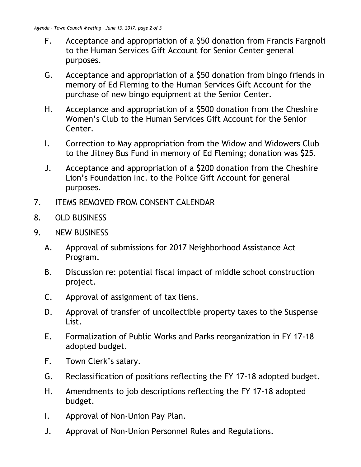- F. Acceptance and appropriation of a \$50 donation from Francis Fargnoli to the Human Services Gift Account for Senior Center general purposes.
- G. Acceptance and appropriation of a \$50 donation from bingo friends in memory of Ed Fleming to the Human Services Gift Account for the purchase of new bingo equipment at the Senior Center.
- H. Acceptance and appropriation of a \$500 donation from the Cheshire Women's Club to the Human Services Gift Account for the Senior Center.
- I. Correction to May appropriation from the Widow and Widowers Club to the Jitney Bus Fund in memory of Ed Fleming; donation was \$25.
- J. Acceptance and appropriation of a \$200 donation from the Cheshire Lion's Foundation Inc. to the Police Gift Account for general purposes.
- 7. ITEMS REMOVED FROM CONSENT CALENDAR
- 8. OLD BUSINESS
- 9. NEW BUSINESS
	- A. Approval of submissions for 2017 Neighborhood Assistance Act Program.
	- B. Discussion re: potential fiscal impact of middle school construction project.
	- C. Approval of assignment of tax liens.
	- D. Approval of transfer of uncollectible property taxes to the Suspense List.
	- E. Formalization of Public Works and Parks reorganization in FY 17-18 adopted budget.
	- F. Town Clerk's salary.
	- G. Reclassification of positions reflecting the FY 17-18 adopted budget.
	- H. Amendments to job descriptions reflecting the FY 17-18 adopted budget.
	- I. Approval of Non-Union Pay Plan.
	- J. Approval of Non-Union Personnel Rules and Regulations.